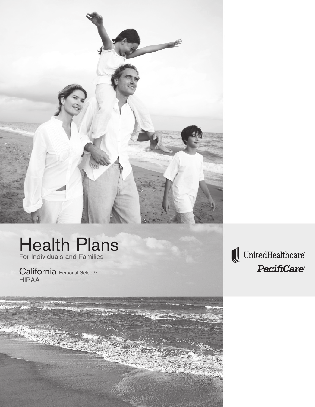

# Health Plans For Individuals and Families

California Personal Select<sup>SM</sup> HIPAA



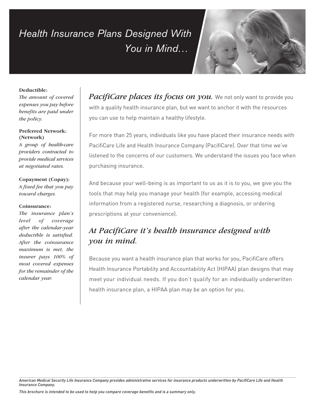# Health Insurance Plans Designed With You in Mind…



### **Deductible:**

*The amount of covered expenses you pay before benefits are paid under the policy.*

### **Preferred Network: (Network)**

*A group of health-care providers contracted to provide medical services at negotiated rates.* 

### **Copayment (Copay):**

*A fixed fee that you pay toward charges.*

### **Coinsurance:**

*The insurance plan's level of coverage after the calendar-year deductible is satisfied. After the coinsurance maximum is met, the insurer pays 100% of most covered expenses for the remainder of the calendar year.*

PacifiCare places its focus on you. We not only want to provide you with a quality health insurance plan, but we want to anchor it with the resources you can use to help maintain a healthy lifestyle.

For more than 25 years, individuals like you have placed their insurance needs with PacifiCare Life and Health Insurance Company (PacifiCare). Over that time we've listened to the concerns of our customers. We understand the issues you face when purchasing insurance.

And because your well-being is as important to us as it is to you, we give you the tools that may help you manage your health (for example, accessing medical information from a registered nurse, researching a diagnosis, or ordering prescriptions at your convenience).

# *At PacifiCare it's health insurance designed with you in mind.*

Because you want a health insurance plan that works for you, PacifiCare offers Health Insurance Portability and Accountability Act (HIPAA) plan designs that may meet your individual needs. If you don't qualify for an individually underwritten health insurance plan, a HIPAA plan may be an option for you.

*American Medical Security Life Insurance Company provides administrative services for insurance products underwritten by PacifiCare Life and Health Insurance Company.*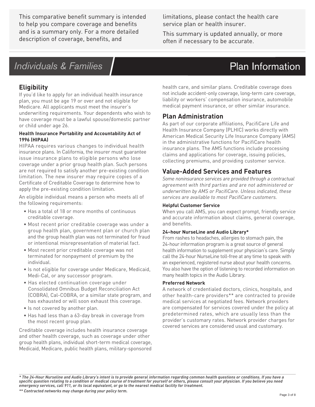This comparative benefit summary is intended to help you compare coverage and benefits and is a summary only. For a more detailed description of coverage, benefits, and

limitations, please contact the health care service plan or health insurer.

This summary is updated annually, or more often if necessary to be accurate.

# Individuals & Families Plan Information

# **Eligibility**

If you'd like to apply for an individual health insurance plan, you must be age 19 or over and not eligible for Medicare. All applicants must meet the insurer's underwriting requirements. Your dependents who wish to have coverage must be a lawful spouse/domestic partner or child under age 26.

### **Health Insurance Portability and Accountability Act of 1996 (HIPAA)**

HIPAA requires various changes to individual health insurance plans. In California, the insurer must guarantee issue insurance plans to eligible persons who lose coverage under a prior group health plan. Such persons are not required to satisfy another pre-existing condition limitation. The new insurer may require copies of a Certificate of Creditable Coverage to determine how to apply the pre-existing condition limitation.

An eligible individual means a person who meets all of the following requirements:

- Has a total of 18 or more months of continuous creditable coverage.
- Most recent prior creditable coverage was under a group health plan, government plan or church plan and the group health plan was not terminated for fraud or intentional misrepresentation of material fact.
- Most recent prior creditable coverage was not terminated for nonpayment of premium by the individual.
- Is not eligible for coverage under Medicare, Medicaid, Medi-Cal, or any successor program.
- Has elected continuation coverage under Consolidated Omnibus Budget Reconciliation Act (COBRA), Cal-COBRA, or a similar state program, and has exhausted or will soon exhaust this coverage.
- Is not covered by another plan.
- Has had less than a 63-day break in coverage from the most recent group plan.

Creditable coverage includes health insurance coverage and other health coverage, such as coverage under other group health plans, individual short-term medical coverage, Medicaid, Medicare, public health plans, military-sponsored

health care, and similar plans. Creditable coverage does not include accident-only coverage, long-term care coverage, liability or workers' compensation insurance, automobile medical payment insurance, or other similar insurance.

# **Plan Administration**

As part of our corporate affiliations, PacifiCare Life and Health Insurance Company (PLHIC) works directly with American Medical Security Life Insurance Company (AMS) in the administrative functions for PacifiCare health insurance plans. The AMS functions include processing claims and applications for coverage, issuing policies, collecting premiums, and providing customer service.

# **Value-Added Services and Features**

*Some noninsurance services are provided through a contractual agreement with third parties and are not administered or underwritten by AMS or PacifiCare. Unless indicated, these services are available to most PacifiCare customers.*

### **Helpful Customer Service**

When you call AMS, you can expect prompt, friendly service and accurate information about claims, general coverage, and benefits.

### **24–hour NurseLine and Audio Library\***

From rashes to headaches, allergies to stomach pain, the 24-hour information program is a great source of general health information to supplement your physician's care. Simply call the 24-hour NurseLine toll-free at any time to speak with an experienced, registered nurse about your health concerns. You also have the option of listening to recorded information on many health topics in the Audio Library.

### **Preferred Network**

A network of credentialed doctors, clinics, hospitals, and other health-care providers\*\* are contracted to provide medical services at negotiated fees. Network providers are compensated for services covered under the policy at predetermined rates, which are usually less than the provider's customary rates. Network provider charges for covered services are considered usual and customary.

*\*\* Contracted networks may change during your policy term.*

*<sup>\*</sup> The 24-Hour Nurseline and Audio Library's intent is to provide general information regarding common health questions or conditions. If you have a specific question relating to a condition or medical course of treatment for yourself or others, please consult your physician. If you believe you need emergency services, call 911, or its local equivalent, or go to the nearest medical facility for treatment.*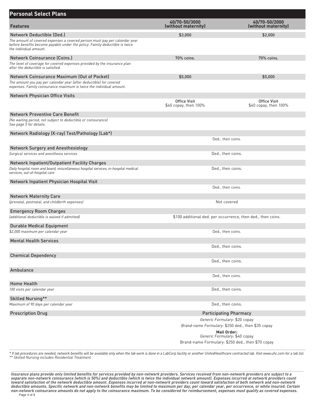| <b>Personal Select Plans</b>                                                                                                                                                        |                                                              |                                       |
|-------------------------------------------------------------------------------------------------------------------------------------------------------------------------------------|--------------------------------------------------------------|---------------------------------------|
| <b>Features</b>                                                                                                                                                                     | 40/70-50/3000<br>(without maternity)                         | 40/70-50/2000<br>(without maternity)  |
| Network Deductible (Ded.)                                                                                                                                                           | \$3,000                                                      | \$2,000                               |
| The amount of covered expenses a covered person must pay per calendar year<br>before benefits become payable under the policy. Family deductible is twice<br>the individual amount. |                                                              |                                       |
| <b>Network Coinsurance (Coins.)</b>                                                                                                                                                 | 70% coins.                                                   | 70% coins.                            |
| The level of coverage for covered expenses provided by the insurance plan<br>after the deductible is satisfied.                                                                     |                                                              |                                       |
| <b>Network Coinsurance Maximum (Out of Pocket)</b>                                                                                                                                  | \$5,000                                                      | \$5,000                               |
| The amount you pay per calendar year (after deductible) for covered<br>expenses. Family coinsurance maximum is twice the individual amount.                                         |                                                              |                                       |
| Network Physician Office Visits                                                                                                                                                     |                                                              |                                       |
|                                                                                                                                                                                     | <b>Office Visit</b><br>\$40 copay, then 100%                 | Office Visit<br>\$40 copay, then 100% |
| <b>Network Preventive Care Benefit</b>                                                                                                                                              |                                                              |                                       |
| (No waiting period, not subject to deductible or coinsurance)<br>See page 5 for details.                                                                                            |                                                              |                                       |
| Network Radiology (X-ray) Test/Pathology (Lab*)                                                                                                                                     |                                                              |                                       |
|                                                                                                                                                                                     |                                                              | Ded., then coins.                     |
| <b>Network Surgery and Anesthesiology</b>                                                                                                                                           |                                                              |                                       |
| Surgical services and anesthesia services                                                                                                                                           | Ded., then coins.                                            |                                       |
| <b>Network Inpatient/Outpatient Facility Charges</b>                                                                                                                                |                                                              |                                       |
| Daily hospital room and board, miscellaneous hospital services, in-hospital medical<br>services, out-of-hospital care                                                               | Ded., then coins.                                            |                                       |
| Network Inpatient Physician Hospital Visit                                                                                                                                          | Ded., then coins.                                            |                                       |
| <b>Network Maternity Care</b>                                                                                                                                                       |                                                              |                                       |
| (prenatal, postnatal, and childbirth expenses)                                                                                                                                      | Not covered                                                  |                                       |
| <b>Emergency Room Charges</b>                                                                                                                                                       |                                                              |                                       |
| (additional deductible is waived if admitted)                                                                                                                                       | \$100 additional ded. per occurrence, then ded., then coins. |                                       |
| <b>Durable Medical Equipment</b>                                                                                                                                                    |                                                              |                                       |
| \$2,000 maximum per calendar year                                                                                                                                                   | Ded., then coins.                                            |                                       |
| <b>Mental Health Services</b>                                                                                                                                                       |                                                              |                                       |
|                                                                                                                                                                                     |                                                              | Ded., then coins.                     |
| <b>Chemical Dependency</b>                                                                                                                                                          |                                                              |                                       |
|                                                                                                                                                                                     |                                                              | Ded., then coins.                     |
| Ambulance                                                                                                                                                                           |                                                              |                                       |
|                                                                                                                                                                                     |                                                              | Ded., then coins.                     |
| <b>Home Health</b>                                                                                                                                                                  |                                                              |                                       |
| 100 visits per calendar year                                                                                                                                                        | Ded., then coins.                                            |                                       |
| <b>Skilled Nursing**</b>                                                                                                                                                            |                                                              |                                       |
| Maximum of 90 days per calendar year                                                                                                                                                | Ded., then coins.                                            |                                       |
| <b>Prescription Drug</b>                                                                                                                                                            | <b>Participating Pharmacy</b>                                |                                       |
|                                                                                                                                                                                     | Generic Formulary: \$20 copay                                |                                       |
|                                                                                                                                                                                     | Brand-name Formulary: \$250 ded., then \$35 copay            |                                       |
|                                                                                                                                                                                     | Mail Order:<br>Generic Formulary: \$40 conay                 |                                       |

*Generic Formulary:* \$40 copay Brand-name Formulary: \$250 ded., then \$70 copay

*\* If lab procedures are needed, network benefits will be available only when the lab work is done in a LabCorp facility or another UnitedHealthcare contracted lab. Visit www.uhc.com for a lab list. \*\* Skilled Nursing includes Residential Treatment.*

Insurance plans provide only limited benefits for services provided by non-network providers. Services received from non-network providers are subject to a<br>separate non-network coinsurance (which is 50%) and deductible (wh *toward satisfaction of the network deductible amount. Expenses incurred at non-network providers count toward satisfaction of both network and non-network deductible amounts. Specific network and non-network benefits may be limited to maximum per day, per calendar year, per occurrence, or while insured. Certain non-network coinsurance amounts do not apply to the coinsurance maximum. To be considered for reimbursement, expenses must qualify as covered expenses.*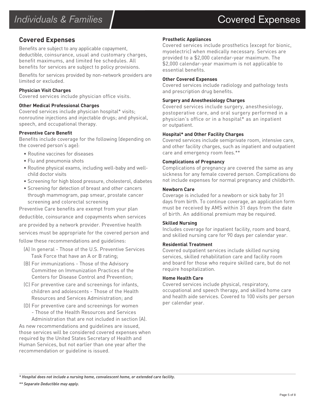# **Covered Expenses**

Benefits are subject to any applicable copayment, deductible, coinsurance, usual and customary charges, benefit maximums, and limited fee schedules. All benefits for services are subject to policy provisions.

Benefits for services provided by non-network providers are limited or excluded.

### **Physician Visit Charges**

Covered services include physician office visits.

### **Other Medical Professional Charges**

Covered services include physician hospital\* visits; nonroutine injections and injectable drugs; and physical, speech, and occupational therapy.

### **Preventive Care Benefit**

Benefits include coverage for the following (depending on the covered person's age):

- Routine vaccines for diseases
- Flu and pneumonia shots
- Routine physical exams, including well-baby and wellchild doctor visits
- Screening for high blood pressure, cholesterol, diabetes
- Screening for detection of breast and other cancers through mammogram, pap smear, prostate cancer screening and colorectal screening

Preventive Care benefits are exempt from your plan deductible, coinsurance and copayments when services are provided by a network provider. Preventive health services must be appropriate for the covered person and follow these recommendations and guidelines:

- (A) In general Those of the U.S. Preventive Services Task Force that have an A or B rating;
- (B) For immunizations Those of the Advisory Committee on Immunization Practices of the Centers for Disease Control and Prevention;
- (C) For preventive care and screenings for infants, children and adolescents - Those of the Health Resources and Services Administration; and
- (D) For preventive care and screenings for women - Those of the Health Resources and Services Administration that are not included in section (A).

As new recommendations and guidelines are issued, those services will be considered covered expenses when required by the United States Secretary of Health and Human Services, but not earlier than one year after the recommendation or guideline is issued.

### **Prosthetic Appliances**

Covered services include prosthetics (except for bionic, myoelectric) when medically necessary. Services are provided to a \$2,000 calendar-year maximum. The \$2,000 calendar-year maximum is not applicable to essential benefits.

### **Other Covered Expenses**

Covered services include radiology and pathology tests and prescription drug benefits.

### **Surgery and Anesthesiology Charges**

Covered services include surgery, anesthesiology, postoperative care, and oral surgery performed in a physician's office or in a hospital\* as an inpatient or outpatient.

### **Hospital\* and Other Facility Charges**

Covered services include semiprivate room, intensive care, and other facility charges, such as inpatient and outpatient care and emergency room fees.\*\*

### **Complications of Pregnancy**

Complications of pregnancy are covered the same as any sickness for any female covered person. Complications do not include expenses for normal pregnancy and childbirth.

### **Newborn Care**

Coverage is included for a newborn or sick baby for 31 days from birth. To continue coverage, an application form must be received by AMS within 31 days from the date of birth. An additional premium may be required.

### **Skilled Nursing**

Includes coverage for inpatient facility, room and board, and skilled nursing care for 90 days per calendar year.

### **Residential Treatment**

Covered outpatient services include skilled nursing services, skilled rehabilitation care and facility room and board for those who require skilled care, but do not require hospitalization.

### **Home Health Care**

Covered services include physical, respiratory, occupational and speech therapy, and skilled home care and health aide services. Covered to 100 visits per person per calendar year.

*<sup>\*</sup> Hospital does not include a nursing home, convalescent home, or extended care facility.*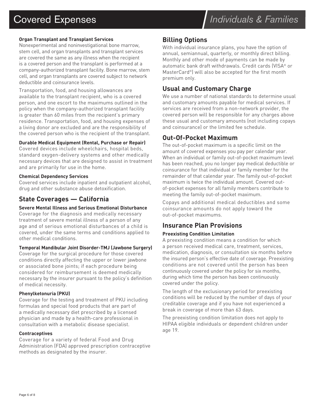# Covered Expenses **Individuals & Families**

### **Organ Transplant and Transplant Services**

Nonexperimental and noninvestigational bone marrow, stem cell, and organ transplants and transplant services are covered the same as any illness when the recipient is a covered person and the transplant is performed at a company-authorized transplant facility. Bone marrow, stem cell, and organ transplants are covered subject to network deductible and coinsurance levels.

Transportation, food, and housing allowances are available to the transplant recipient, who is a covered person, and one escort to the maximums outlined in the policy when the company-authorized transplant facility is greater than 60 miles from the recipient's primary residence. Transportation, food, and housing expenses of a living donor are excluded and are the responsibility of the covered person who is the recipient of the transplant.

### **Durable Medical Equipment (Rental, Purchase or Repair)**

Covered devices include wheelchairs, hospital beds, standard oxygen-delivery systems and other medically necessary devices that are designed to assist in treatment and are primarily for use in the home.

### **Chemical Dependency Services**

Covered services include inpatient and outpatient alcohol, drug and other substance abuse detoxification.

## **State Coverages — California**

### **Severe Mental Illness and Serious Emotional Disturbance**

Coverage for the diagnosis and medically necessary treatment of severe mental illness of a person of any age and of serious emotional disturbances of a child is covered, under the same terms and conditions applied to other medical conditions.

### **Temporal Mandibular Joint Disorder-TMJ (Jawbone Surgery)**

Coverage for the surgical procedure for those covered conditions directly affecting the upper or lower jawbone or associated bone joints; if each procedure being considered for reimbursement is deemed medically necessary by the insurer pursuant to the policy's definition of medical necessity.

### **Phenylketonuria (PKU)**

Coverage for the testing and treatment of PKU including formulas and special food products that are part of a medically necessary diet prescribed by a licensed physician and made by a health-care professional in consultation with a metabolic disease specialist.

### **Contraceptives**

Coverage for a variety of federal Food and Drug Administration (FDA) approved prescription contraceptive methods as designated by the insurer.

### **Billing Options**

With individual insurance plans, you have the option of annual, semiannual, quarterly, or monthly direct billing. Monthly and other mode of payments can be made by automatic bank draft withdrawals. Credit cards (VISA® or MasterCard®) will also be accepted for the first month premium only.

## **Usual and Customary Charge**

We use a number of national standards to determine usual and customary amounts payable for medical services. If services are received from a non-network provider, the covered person will be responsible for any charges above these usual and customary amounts (not including copays and coinsurance) or the limited fee schedule.

### **Out-Of-Pocket Maximum**

The out-of-pocket maximum is a specific limit on the amount of covered expenses you pay per calendar year. When an individual or family out-of-pocket maximum level has been reached, you no longer pay medical deductible or coinsurance for that individual or family member for the remainder of that calendar year. The family out-of-pocket maximum is twice the individual amount. Covered outof-pocket expenses for all family members contribute to meeting the family out-of-pocket maximum.

Copays and additional medical deductibles and some coinsurance amounts do not apply toward the out-of-pocket maximums.

### **Insurance Plan Provisions**

### **Preexisting Condition Limitation**

A preexisting condition means a condition for which a person received medical care, treatment, services, medication, diagnosis, or consultation six months before the insured person's effective date of coverage. Preexisting conditions are not covered until the person has been continuously covered under the policy for six months, during which time the person has been continuously covered under the policy.

The length of the exclusionary period for preexisting conditions will be reduced by the number of days of your creditable coverage and if you have not experienced a break in coverage of more than 63 days.

The preexisting condition limitation does not apply to HIPAA eligible individuals or dependent children under age 19.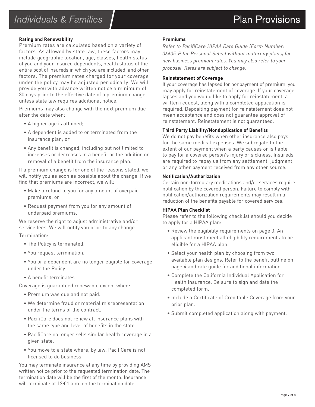# Individuals & Families Plan Provisions

### **Rating and Renewability**

Premium rates are calculated based on a variety of factors. As allowed by state law, these factors may include geographic location, age, classes, health status of you and your insured dependents, health status of the entire pool of insureds in which you are included, and other factors. The premium rates charged for your coverage under the policy may be adjusted periodically. We will provide you with advance written notice a minimum of 30 days prior to the effective date of a premium change, unless state law requires additional notice.

Premiums may also change with the next premium due after the date when:

- A higher age is attained;
- A dependent is added to or terminated from the insurance plan; or
- Any benefit is changed, including but not limited to increases or decreases in a benefit or the addition or removal of a benefit from the insurance plan.

If a premium change is for one of the reasons stated, we will notify you as soon as possible about the change. If we find that premiums are incorrect, we will:

- Make a refund to you for any amount of overpaid premiums; or
- Request payment from you for any amount of underpaid premiums.

We reserve the right to adjust administrative and/or service fees. We will notify you prior to any change. Termination:

- The Policy is terminated.
- You request termination.
- You or a dependent are no longer eligible for coverage under the Policy.
- A benefit terminates.

Coverage is guaranteed renewable except when:

- Premium was due and not paid.
- We determine fraud or material misrepresentation under the terms of the contract.
- PacifiCare does not renew all insurance plans with the same type and level of benefits in the state.
- PacifiCare no longer sells similar health coverage in a given state.
- You move to a state where, by law, PacifiCare is not licensed to do business.

You may terminate insurance at any time by providing AMS written notice prior to the requested termination date. The termination date will be the first of the month. Insurance will terminate at 12:01 a.m. on the termination date.

#### **Premiums**

*Refer to PacifiCare HIPAA Rate Guide (Form Number: 36635-P for Personal Select without maternity plans) for new business premium rates. You may also refer to your proposal. Rates are subject to change.*

#### **Reinstatement of Coverage**

If your coverage has lapsed for nonpayment of premium, you may apply for reinstatement of coverage. If your coverage lapses and you would like to apply for reinstatement, a written request, along with a completed application is required. Depositing payment for reinstatement does not mean acceptance and does not guarantee approval of reinstatement. Reinstatement is not guaranteed.

### **Third Party Liability/Nonduplication of Benefits**

We do not pay benefits when other insurance also pays for the same medical expenses. We subrogate to the extent of our payment when a party causes or is liable to pay for a covered person's injury or sickness. Insureds are required to repay us from any settlement, judgment, or any other payment received from any other source.

#### **Notification/Authorization**

Certain non-formulary medications and/or services require notification by the covered person. Failure to comply with notification/authorization requirements may result in a reduction of the benefits payable for covered services.

#### **HIPAA Plan Checklist**

Please refer to the following checklist should you decide to apply for a HIPAA plan:

- Review the eligibility requirements on page 3. An applicant must meet all eligibility requirements to be eligible for a HIPAA plan.
- Select your health plan by choosing from two available plan designs. Refer to the benefit outline on page 4 and rate guide for additional information.
- Complete the California Individual Application for Health Insurance. Be sure to sign and date the completed form.
- Include a Certificate of Creditable Coverage from your prior plan.
- Submit completed application along with payment.